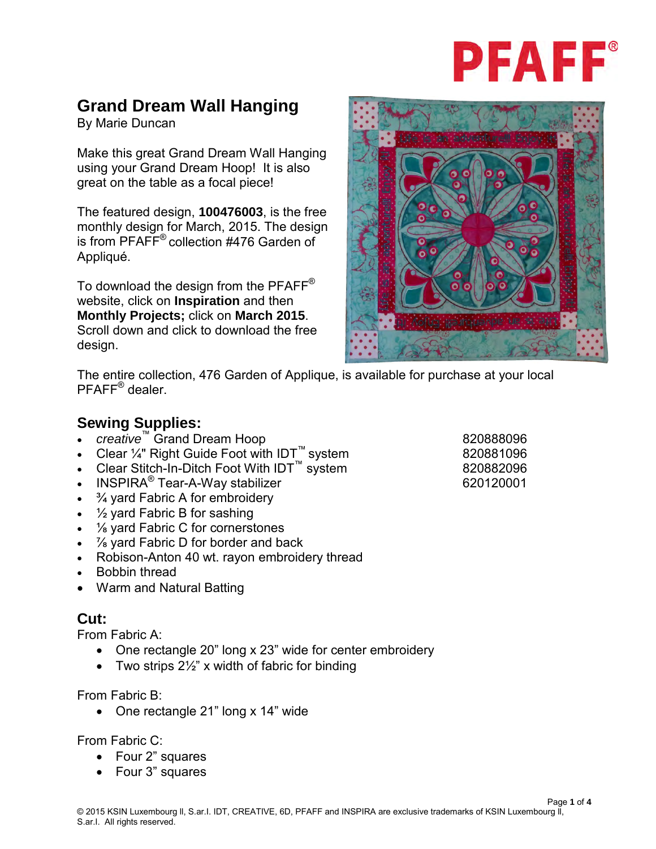

# **Grand Dream Wall Hanging**

By Marie Duncan

Make this great Grand Dream Wall Hanging using your Grand Dream Hoop! It is also great on the table as a focal piece!

The featured design, **100476003**, is the free monthly design for March, 2015. The design is from PFAFF® collection #476 Garden of Appliqué.

To download the design from the PFAFF<sup>®</sup> website, click on **Inspiration** and then **Monthly Projects;** click on **March 2015**. Scroll down and click to download the free design.



The entire collection, 476 Garden of Applique, is available for purchase at your local PFAFF® dealer.

## **Sewing Supplies:**

- *creative*™ Grand Dream Hoop 820888096
- Clear ¼" Right Guide Foot with IDT<sup>™</sup> system 820881096
- Clear Stitch-In-Ditch Foot With IDT<sup>™</sup> system 820882096
- erica: Union Press, Press, Press, Press, Press, Press, Press, Press, Press, Press, Press, Press, Press, Press, P
- $\frac{3}{4}$  yard Fabric A for embroidery
- $\frac{1}{2}$  yard Fabric B for sashing
- 1/<sub>8</sub> yard Fabric C for cornerstones
- *1*⁄<sub>8</sub> yard Fabric D for border and back
- Robison-Anton 40 wt. rayon embroidery thread
- Bobbin thread
- Warm and Natural Batting

#### **Cut:**

From Fabric A:

- One rectangle 20" long x 23" wide for center embroidery
- Two strips  $2\frac{1}{2}$ " x width of fabric for binding

From Fabric B:

• One rectangle 21" long x 14" wide

## From Fabric C:

- Four 2" squares
- Four 3" squares

Page **1** of **4**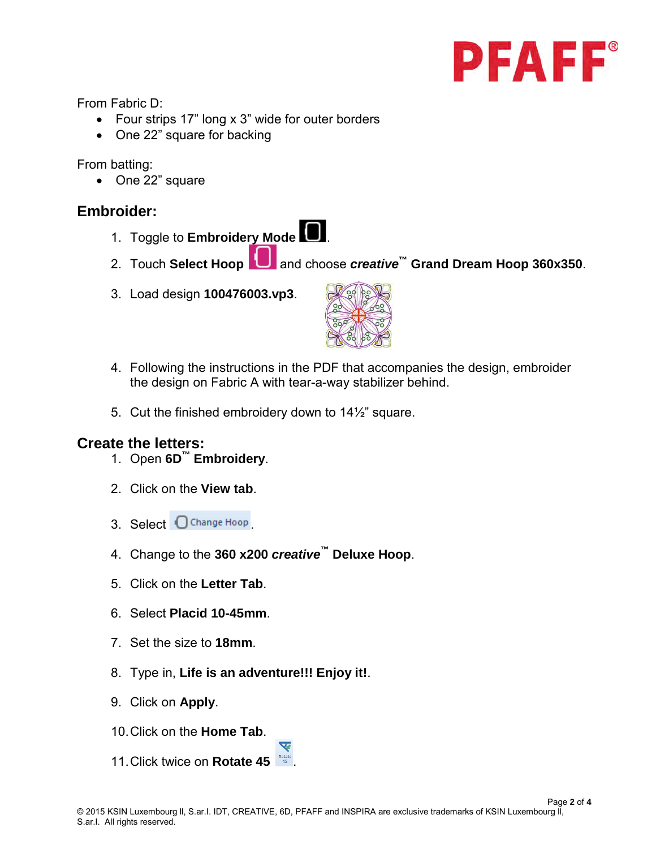

From Fabric D:

- Four strips 17" long x 3" wide for outer borders
- One 22" square for backing

From batting:

• One 22" square

### **Embroider:**

- 1. Toggle to **Embroidery Mode** .
- 2. Touch **Select Hoop** and choose *creative***™ Grand Dream Hoop 360x350**.
- 3. Load design **100476003.vp3**.



- 4. Following the instructions in the PDF that accompanies the design, embroider the design on Fabric A with tear-a-way stabilizer behind.
- 5. Cut the finished embroidery down to  $14\frac{1}{2}$ " square.

#### **Create the letters:**

- 1. Open **6D™ Embroidery**.
- 2. Click on the **View tab**.
- 3. Select Change Hoop
- 4. Change to the **360 x200** *creative***™ Deluxe Hoop**.
- 5. Click on the **Letter Tab**.
- 6. Select **Placid 10-45mm**.
- 7. Set the size to **18mm**.
- 8. Type in, **Life is an adventure!!! Enjoy it!**.
- 9. Click on **Apply**.
- 10.Click on the **Home Tab**.
- 11.Click twice on **Rotate 45** .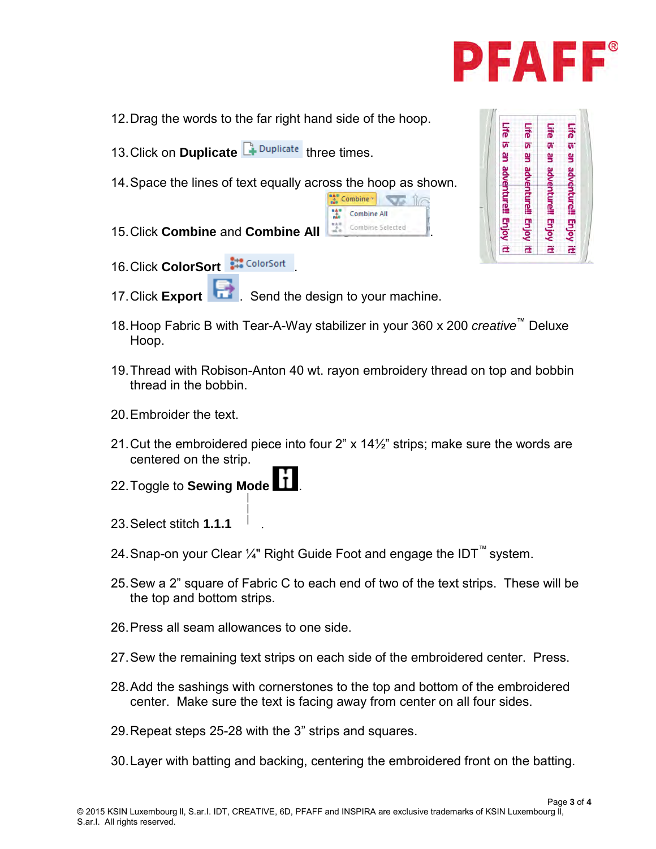

- 12.Drag the words to the far right hand side of the hoop.
- 13. Click on **Duplicate F**<sup>Duplicate</sup> three times.
- 14.Space the lines of text equally across the hoop as shown.
- **15. Click Combine and Combine All <b>All Combine Selected**
- 16. Click **ColorSort** ... ColorSort
- 17.Click **Export** . Send the design to your machine.
- 18.Hoop Fabric B with Tear-A-Way stabilizer in your 360 x 200 *creative*™ Deluxe Hoop.

Combine ville 11

Combine All

- 19.Thread with Robison-Anton 40 wt. rayon embroidery thread on top and bobbin thread in the bobbin.
- 20.Embroider the text.
- 21.Cut the embroidered piece into four 2" x 14½" strips; make sure the words are centered on the strip.
- 22. Toggle to **Sewing Mode**
- 23.Select stitch **1.1.1** .
- 24.Snap-on your Clear ¼" Right Guide Foot and engage the IDT™ system.
- 25. Sew a 2" square of Fabric C to each end of two of the text strips. These will be the top and bottom strips.
- 26.Press all seam allowances to one side.
- 27. Sew the remaining text strips on each side of the embroidered center. Press.
- 28.Add the sashings with cornerstones to the top and bottom of the embroidered center. Make sure the text is facing away from center on all four sides.
- 29.Repeat steps 25-28 with the 3" strips and squares.
- 30.Layer with batting and backing, centering the embroidered front on the batting.

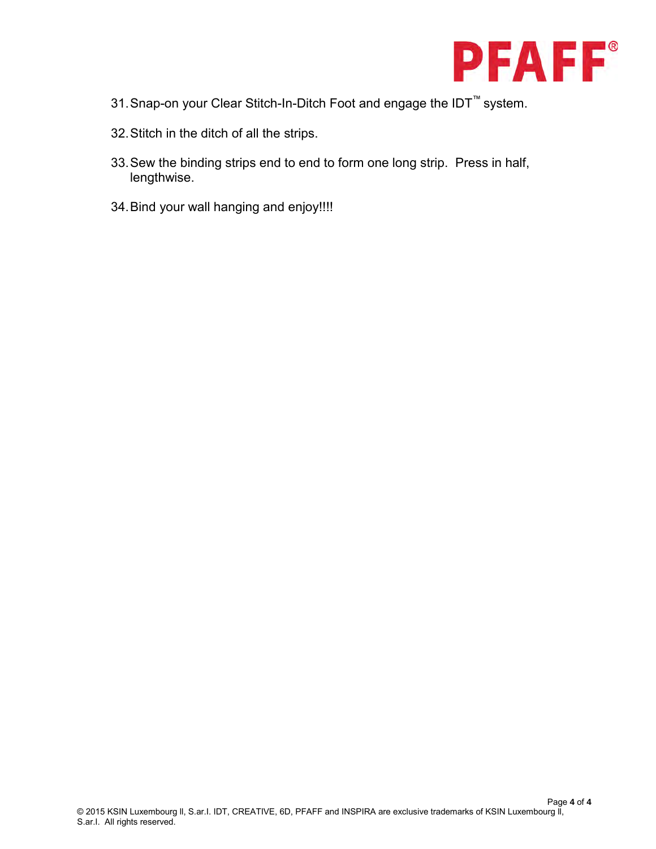

- 31.Snap-on your Clear Stitch-In-Ditch Foot and engage the IDT™ system.
- 32.Stitch in the ditch of all the strips.
- 33.Sew the binding strips end to end to form one long strip. Press in half, lengthwise.
- 34.Bind your wall hanging and enjoy!!!!